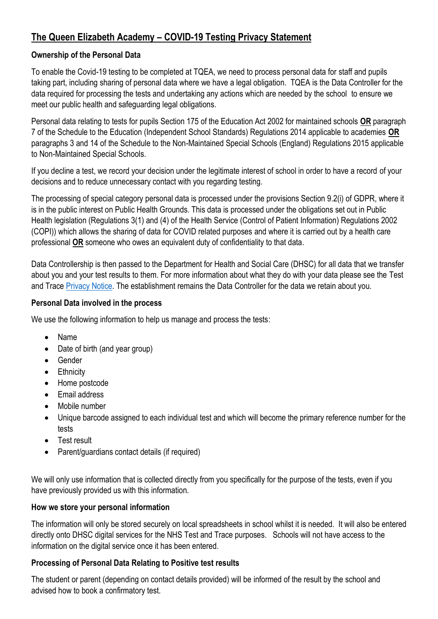# **The Queen Elizabeth Academy – COVID-19 Testing Privacy Statement**

## **Ownership of the Personal Data**

To enable the Covid-19 testing to be completed at TQEA, we need to process personal data for staff and pupils taking part, including sharing of personal data where we have a legal obligation. TQEA is the Data Controller for the data required for processing the tests and undertaking any actions which are needed by the school to ensure we meet our public health and safeguarding legal obligations.

Personal data relating to tests for pupils Section 175 of the Education Act 2002 for maintained schools **OR** paragraph 7 of the Schedule to the Education (Independent School Standards) Regulations 2014 applicable to academies **OR** paragraphs 3 and 14 of the Schedule to the Non-Maintained Special Schools (England) Regulations 2015 applicable to Non-Maintained Special Schools.

If you decline a test, we record your decision under the legitimate interest of school in order to have a record of your decisions and to reduce unnecessary contact with you regarding testing.

The processing of special category personal data is processed under the provisions Section 9.2(i) of GDPR, where it is in the public interest on Public Health Grounds. This data is processed under the obligations set out in Public Health legislation (Regulations 3(1) and (4) of the Health Service (Control of Patient Information) Regulations 2002 (COPI)) which allows the sharing of data for COVID related purposes and where it is carried out by a health care professional **OR** someone who owes an equivalent duty of confidentiality to that data.

Data Controllership is then passed to the Department for Health and Social Care (DHSC) for all data that we transfer about you and your test results to them. For more information about what they do with your data please see the Test and Trace [Privacy Notice.](https://contact-tracing.phe.gov.uk/help/privacy-notice) The establishment remains the Data Controller for the data we retain about you.

## **Personal Data involved in the process**

We use the following information to help us manage and process the tests:

- Name
- Date of birth (and year group)
- Gender
- Ethnicity
- Home postcode
- Email address
- Mobile number
- Unique barcode assigned to each individual test and which will become the primary reference number for the tests
- Test result
- Parent/guardians contact details (if required)

We will only use information that is collected directly from you specifically for the purpose of the tests, even if you have previously provided us with this information.

## **How we store your personal information**

The information will only be stored securely on local spreadsheets in school whilst it is needed. It will also be entered directly onto DHSC digital services for the NHS Test and Trace purposes. Schools will not have access to the information on the digital service once it has been entered.

## **Processing of Personal Data Relating to Positive test results**

The student or parent (depending on contact details provided) will be informed of the result by the school and advised how to book a confirmatory test.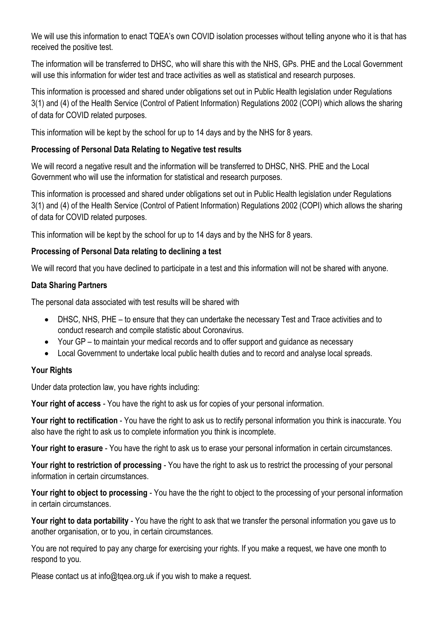We will use this information to enact TQEA's own COVID isolation processes without telling anyone who it is that has received the positive test.

The information will be transferred to DHSC, who will share this with the NHS, GPs. PHE and the Local Government will use this information for wider test and trace activities as well as statistical and research purposes.

This information is processed and shared under obligations set out in Public Health legislation under Regulations 3(1) and (4) of the Health Service (Control of Patient Information) Regulations 2002 (COPI) which allows the sharing of data for COVID related purposes.

This information will be kept by the school for up to 14 days and by the NHS for 8 years.

## **Processing of Personal Data Relating to Negative test results**

We will record a negative result and the information will be transferred to DHSC, NHS. PHE and the Local Government who will use the information for statistical and research purposes.

This information is processed and shared under obligations set out in Public Health legislation under Regulations 3(1) and (4) of the Health Service (Control of Patient Information) Regulations 2002 (COPI) which allows the sharing of data for COVID related purposes.

This information will be kept by the school for up to 14 days and by the NHS for 8 years.

#### **Processing of Personal Data relating to declining a test**

We will record that you have declined to participate in a test and this information will not be shared with anyone.

#### **Data Sharing Partners**

The personal data associated with test results will be shared with

- DHSC, NHS, PHE to ensure that they can undertake the necessary Test and Trace activities and to conduct research and compile statistic about Coronavirus.
- Your GP to maintain your medical records and to offer support and guidance as necessary
- Local Government to undertake local public health duties and to record and analyse local spreads.

## **Your Rights**

Under data protection law, you have rights including:

**Your right of access** - You have the right to ask us for copies of your personal information.

**Your right to rectification** - You have the right to ask us to rectify personal information you think is inaccurate. You also have the right to ask us to complete information you think is incomplete.

**Your right to erasure** - You have the right to ask us to erase your personal information in certain circumstances.

**Your right to restriction of processing** - You have the right to ask us to restrict the processing of your personal information in certain circumstances.

**Your right to object to processing** - You have the the right to object to the processing of your personal information in certain circumstances.

**Your right to data portability** - You have the right to ask that we transfer the personal information you gave us to another organisation, or to you, in certain circumstances.

You are not required to pay any charge for exercising your rights. If you make a request, we have one month to respond to you.

Please contact us at info@tqea.org.uk if you wish to make a request.